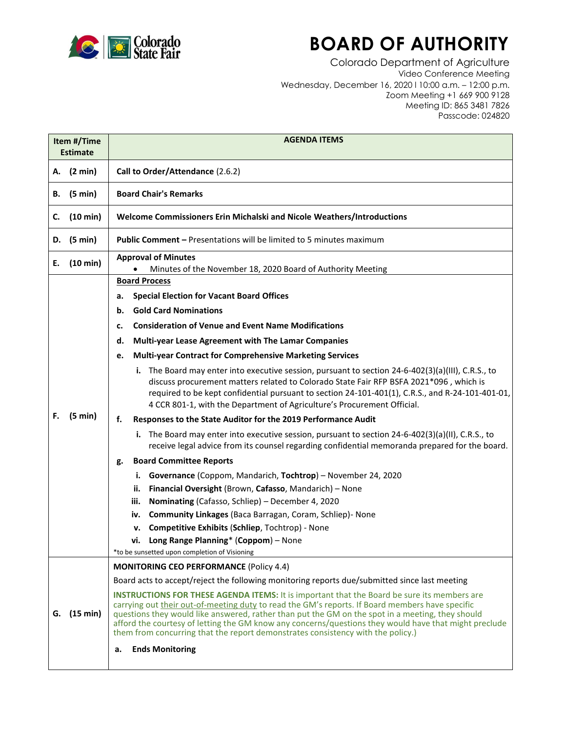

## **BOARD OF AUTHORITY**

Colorado Department of Agriculture Video Conference Meeting Wednesday, December 16, 2020 l 10:00 a.m. – 12:00 p.m. Zoom Meeting +1 669 900 9128 Meeting ID: 865 3481 7826 Passcode: 024820

| Item #/Time<br><b>Estimate</b> |            | <b>AGENDA ITEMS</b>                                                                                                                                                                                                                                                                                                                                                                                                                                                                                   |
|--------------------------------|------------|-------------------------------------------------------------------------------------------------------------------------------------------------------------------------------------------------------------------------------------------------------------------------------------------------------------------------------------------------------------------------------------------------------------------------------------------------------------------------------------------------------|
|                                | A. (2 min) | Call to Order/Attendance (2.6.2)                                                                                                                                                                                                                                                                                                                                                                                                                                                                      |
| В.                             | (5 min)    | <b>Board Chair's Remarks</b>                                                                                                                                                                                                                                                                                                                                                                                                                                                                          |
| c.                             | (10 min)   | Welcome Commissioners Erin Michalski and Nicole Weathers/Introductions                                                                                                                                                                                                                                                                                                                                                                                                                                |
| D.                             | (5 min)    | <b>Public Comment - Presentations will be limited to 5 minutes maximum</b>                                                                                                                                                                                                                                                                                                                                                                                                                            |
| Е.                             | (10 min)   | <b>Approval of Minutes</b><br>Minutes of the November 18, 2020 Board of Authority Meeting                                                                                                                                                                                                                                                                                                                                                                                                             |
|                                | (5 min)    | <b>Board Process</b>                                                                                                                                                                                                                                                                                                                                                                                                                                                                                  |
|                                |            | <b>Special Election for Vacant Board Offices</b><br>а.                                                                                                                                                                                                                                                                                                                                                                                                                                                |
|                                |            | <b>Gold Card Nominations</b><br>b.                                                                                                                                                                                                                                                                                                                                                                                                                                                                    |
| F.                             |            | <b>Consideration of Venue and Event Name Modifications</b><br>c.                                                                                                                                                                                                                                                                                                                                                                                                                                      |
|                                |            | Multi-year Lease Agreement with The Lamar Companies<br>d.                                                                                                                                                                                                                                                                                                                                                                                                                                             |
|                                |            | <b>Multi-year Contract for Comprehensive Marketing Services</b><br>e.                                                                                                                                                                                                                                                                                                                                                                                                                                 |
|                                |            | i. The Board may enter into executive session, pursuant to section $24-6-402(3)(a)(III)$ , C.R.S., to<br>discuss procurement matters related to Colorado State Fair RFP BSFA 2021*096, which is<br>required to be kept confidential pursuant to section 24-101-401(1), C.R.S., and R-24-101-401-01,<br>4 CCR 801-1, with the Department of Agriculture's Procurement Official.                                                                                                                        |
|                                |            | Responses to the State Auditor for the 2019 Performance Audit<br>f.                                                                                                                                                                                                                                                                                                                                                                                                                                   |
|                                |            | The Board may enter into executive session, pursuant to section 24-6-402(3)(a)(II), C.R.S., to<br>i.<br>receive legal advice from its counsel regarding confidential memoranda prepared for the board.                                                                                                                                                                                                                                                                                                |
|                                |            | <b>Board Committee Reports</b><br>g.                                                                                                                                                                                                                                                                                                                                                                                                                                                                  |
|                                |            | i. Governance (Coppom, Mandarich, Tochtrop) - November 24, 2020                                                                                                                                                                                                                                                                                                                                                                                                                                       |
|                                |            | Financial Oversight (Brown, Cafasso, Mandarich) - None<br>ii.                                                                                                                                                                                                                                                                                                                                                                                                                                         |
|                                |            | Nominating (Cafasso, Schliep) - December 4, 2020<br>iii.                                                                                                                                                                                                                                                                                                                                                                                                                                              |
|                                |            | Community Linkages (Baca Barragan, Coram, Schliep) - None<br>iv.                                                                                                                                                                                                                                                                                                                                                                                                                                      |
|                                |            | Competitive Exhibits (Schliep, Tochtrop) - None<br>v.                                                                                                                                                                                                                                                                                                                                                                                                                                                 |
|                                |            | vi. Long Range Planning* (Coppom) - None                                                                                                                                                                                                                                                                                                                                                                                                                                                              |
|                                |            | *to be sunsetted upon completion of Visioning                                                                                                                                                                                                                                                                                                                                                                                                                                                         |
| G.                             | (15 min)   | <b>MONITORING CEO PERFORMANCE (Policy 4.4)</b>                                                                                                                                                                                                                                                                                                                                                                                                                                                        |
|                                |            | Board acts to accept/reject the following monitoring reports due/submitted since last meeting                                                                                                                                                                                                                                                                                                                                                                                                         |
|                                |            | <b>INSTRUCTIONS FOR THESE AGENDA ITEMS:</b> It is important that the Board be sure its members are<br>carrying out their out-of-meeting duty to read the GM's reports. If Board members have specific<br>questions they would like answered, rather than put the GM on the spot in a meeting, they should<br>afford the courtesy of letting the GM know any concerns/questions they would have that might preclude<br>them from concurring that the report demonstrates consistency with the policy.) |
|                                |            | <b>Ends Monitoring</b><br>a.                                                                                                                                                                                                                                                                                                                                                                                                                                                                          |